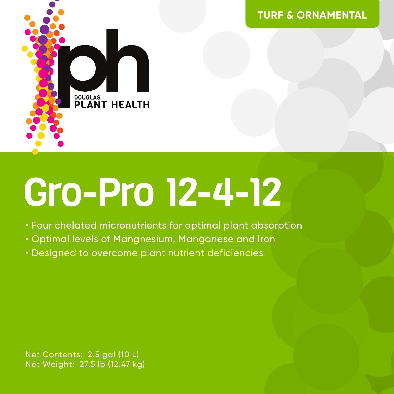



# Gro-Pro 12-4-12

- Four chelated micronutrients for optimal plant absorption
- Optimal levels of Mangnesium, Manganese and Iron
- Designed to overcome plant nutrient deficiencies

Net Contents: 2.5 gal (10 L) Net Weight: 27.5 lb (12.47 kg)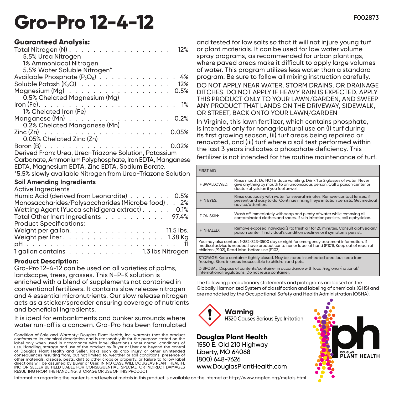# Gro-Pro 12-4-12 FOO2873

#### **Guaranteed Analysis:**

| Total Nitrogen (N)<br>12%                                   |
|-------------------------------------------------------------|
| 5.5% Urea Nitrogen                                          |
| 1% Ammoniacal Nitrogen                                      |
| 5.5% Water Soluble Nitrogen*                                |
| Available Phosphate $(P_2O_5)$ 4%                           |
| Soluble Potash $(K_2O)$ 12%                                 |
| Magnesium $(Mg)$ 0.5%                                       |
| 0.5% Chelated Magnesium (Mg)                                |
|                                                             |
| 1% Chelated Iron (Fe)                                       |
|                                                             |
| 0.2% Chelated Manganese (Mn)                                |
|                                                             |
| 0.05% Chelated Zinc (Zn)                                    |
| 0.02%                                                       |
| Derived From: Urea, Urea-Triazone Solution, Potassium       |
| Carbonate, Ammonium Polyphosphate, Iron EDTA, Manganese     |
| EDTA, Magnesium EDTA, Zinc EDTA, Sodium Borate.             |
| *5.5% slowly available Nitrogen from Urea-Triazone Solution |
|                                                             |

#### **Soil Amending Ingredients**

| <b>Active Ingredients</b>                                                        |  |
|----------------------------------------------------------------------------------|--|
| Humic Acid (derived from Leonardite) 0.5%                                        |  |
| Monosaccharides/Polysaccharides (Microbe food). . 2%                             |  |
| Wetting Agent (Yucca schidigera extract) 0.1%                                    |  |
| Total Other Inert Ingredients 97.4%                                              |  |
| <b>Product Specifications:</b>                                                   |  |
| Weight per gallon. $\ldots$ . $\ldots$ . $\ldots$ . $\ldots$ . 11.5 lbs.         |  |
| Weight per liter $\ldots$ $\ldots$ $\ldots$ $\ldots$ $\ldots$ $\ldots$ . 1.38 Kg |  |
|                                                                                  |  |
| 1 gallon contains 1.3 lbs Nitrogen                                               |  |

#### **Product Description:**

Gro-Pro 12-4-12 can be used on all varieties of palms, landscape, trees, grasses. This N-P-K solution is enriched with a blend of supplements not contained in conventional fertilizers. It contains slow release nitrogen and 4 essential micronutrients. Our slow release nitrogen acts as a sticker/spreader ensuring coverage of nutrients and beneficial ingredients.

It is ideal for embankments and bunker surrounds where water run-off is a concern. Gro-Pro has been formulated

Condition of Sale and Warranty: Douglas Plant Health, Inc. warrants that the product conforms to its chemical description and is reasonably fit for the purpose stated on the label only when used in accordance with label directions under normal conditions of use. Handling, storage and use of the product by Buyer or User are beyond the control of Douglas Plant Health and Seller. Risks such as crop injury or other unintended consequences resulting from, but not limited to, weather or soil conditions, presence of other materials, disease, pests, drift to other crops or property, or failure to follow label directions will be assumed by Buyer or User. IN NO CASE WILL DOUGLAS PLANT HEALTH, INC OR SELLER BE HELD LIABLE FOR CONSEQUENTIAL, SPECIAL, OR INDIRECT DAMAGES RESULTING FROM THE HANDLING, STORAGE OR USE OF THIS PRODUCT

and tested for low salts so that it will not injure young turf or plant materials. It can be used for low water volume spray programs, as recommended for urban plantings, where paved areas make it difficult to apply large volumes of water. This program utilizes less water than a standard program. Be sure to follow all mixing instruction carefully. DO NOT APPLY NEAR WATER, STORM DRAINS, OR DRAINAGE DITCHES. DO NOT APPLY IF HEAVY RAIN IS EXPECTED. APPLY THIS PRODUCT ONLY TO YOUR LAWN/GARDEN, AND SWEEP ANY PRODUCT THAT LANDS ON THE DRIVEWAY, SIDEWALK, OR STREET, BACK ONTO YOUR LAWN/GARDEN

In Virginia, this lawn fertilizer, which contains phosphate, is intended only for nonagricultural use on (i) turf during its first growing season, (ii) turf areas being repaired or renovated, and (iii) turf where a soil test performed within the last 3 years indicates a phosphate deficiency. This fertilizer is not intended for the routine maintenance of turf.

| <b>FIRST AID</b>                                                                                                                                                                                                                             |                                                                                                                                                                                               |  |  |  |
|----------------------------------------------------------------------------------------------------------------------------------------------------------------------------------------------------------------------------------------------|-----------------------------------------------------------------------------------------------------------------------------------------------------------------------------------------------|--|--|--|
| IF SWALLOWED:                                                                                                                                                                                                                                | Rinse mouth. Do NOT induce vomiting. Drink 1 or 2 glasses of water. Never<br>give anything by mouth to an unconscious person. Call a poison center or<br>doctor/physician if you feel unwell. |  |  |  |
| IF IN EYES:                                                                                                                                                                                                                                  | Rinse cautiously with water for several minutes. Remove contact lenses, if<br>present and easy to do. Continue rinsing If eve irritation persists: Get medical<br>advice/attention.           |  |  |  |
| IF ON SKIN:                                                                                                                                                                                                                                  | Wash off immediately with soap and plenty of water while removing all<br>contaminated clothes and shoes. If skin irritation persists, call a physician.                                       |  |  |  |
| IF INHALED:                                                                                                                                                                                                                                  | Remove exposed individual(s) to fresh air for 20 minutes. Consult a physician/<br>poison center if individual's condition declines or if symptoms persist.                                    |  |  |  |
| You may also contact 1-352-323-3500 day or night for emergency treatment information. If<br>medical advice is needed, have product container or label at hand (P101), Keep out of reach of<br>children (P102), Read label before use (P103). |                                                                                                                                                                                               |  |  |  |
| STORAGE: Keep container tightly closed. May be stored in unheated area, but keep from<br>freezing. Store in areas inaccessible to children and pets.                                                                                         |                                                                                                                                                                                               |  |  |  |
| DISPOSAL: Dispose of contents/container in accordance with local/regional/national/                                                                                                                                                          |                                                                                                                                                                                               |  |  |  |

DISPOSAL: Dispose of contents/container in accordance with local/regional/national/ international regulations. Do not reuse container.

The following precautionary statements and pictograms are based on the Globally Harmonized System of classification and labeling of chemicals (GHS) and are mandated by the Occupational Safety and Health Administration (OSHA).



## **Douglas Plant Health**

1550 E. Old 210 Highway Liberty, MO 64068 (800) 648-7626 www.DouglasPlantHealth.com



Information regarding the contents and levels of metals in this product is available on the internet at http://www.aapfco.org/metals.html